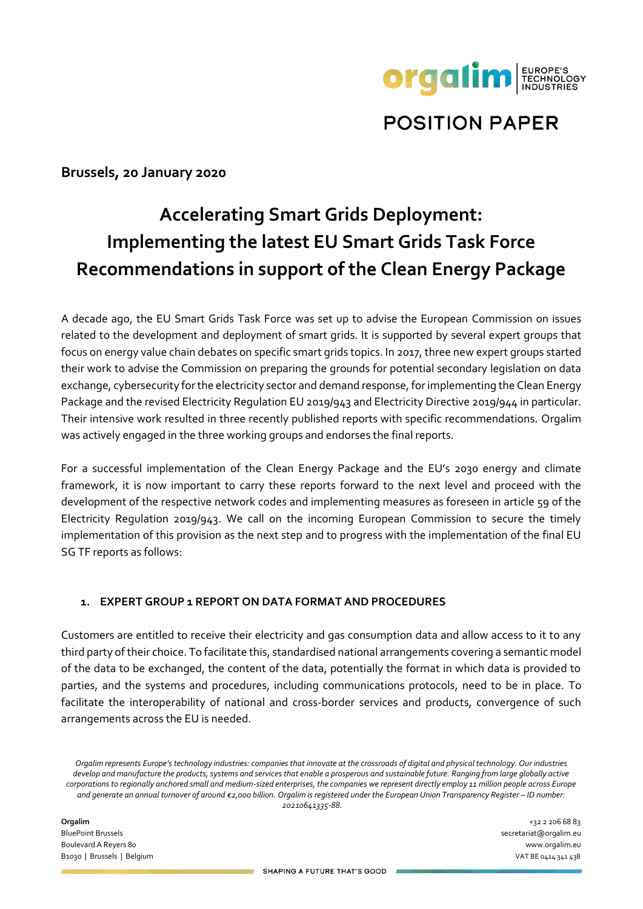

# **POSITION PAPER**

**Brussels, 20 January 2020**

# **Accelerating Smart Grids Deployment: Implementing the latest EU Smart Grids Task Force Recommendations in support of the Clean Energy Package**

A decade ago, the EU Smart Grids Task Force was set up to advise the European Commission on issues related to the development and deployment of smart grids. It is supported by several expert groups that focus on energy value chain debates on specific smart grids topics. In 2017, three new expert groups started their work to advise the Commission on preparing the grounds for potential secondary legislation on data exchange, cybersecurity for the electricity sector and demand response, for implementing the Clean Energy Package and the revised Electricity Regulation EU 2019/943 and Electricity Directive 2019/944 in particular. Their intensive work resulted in three recently published reports with specific recommendations. Orgalim was actively engaged in the three working groups and endorses the final reports.

For a successful implementation of the Clean Energy Package and the EU's 2030 energy and climate framework, it is now important to carry these reports forward to the next level and proceed with the development of the respective network codes and implementing measures as foreseen in article 59 of the Electricity Regulation 2019/943. We call on the incoming European Commission to secure the timely implementation of this provision as the next step and to progress with the implementation of the final EU SG TF reports as follows:

#### **1. EXPERT GROUP 1 REPORT ON DATA FORMAT AND PROCEDURES**

Customers are entitled to receive their electricity and gas consumption data and allow access to it to any third party of their choice. To facilitate this, standardised national arrangements covering a semantic model of the data to be exchanged, the content of the data, potentially the format in which data is provided to parties, and the systems and procedures, including communications protocols, need to be in place. To facilitate the interoperability of national and cross-border services and products, convergence of such arrangements across the EU is needed.

*Orgalim represents Europe's technology industries: companies that innovate at the crossroads of digital and physical technology. Our industries develop and manufacture the products, systems and services that enable a prosperous and sustainable future. Ranging from large globally active corporations to regionally anchored small and medium-sized enterprises, the companies we represent directly employ 11 million people across Europe and generate an annual turnover of around €2,000 billion. Orgalim is registered under the European Union Transparency Register – ID number: 20210641335-88.*

**Orgalim** +32 2 206 68 83 BluePoint Brussels secretariat@orgalim.eu Boulevard A Reyers 80 www.orgalim.eu B1030 | Brussels | Belgium VAT BE 0414 341 438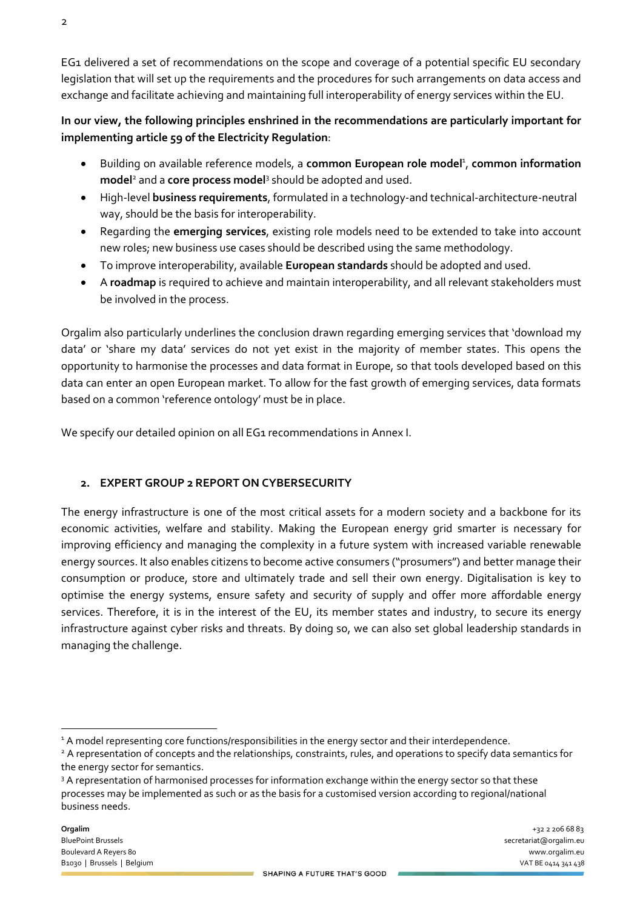2

EG1 delivered a set of recommendations on the scope and coverage of a potential specific EU secondary legislation that will set up the requirements and the procedures for such arrangements on data access and exchange and facilitate achieving and maintaining full interoperability of energy services within the EU.

### **In our view, the following principles enshrined in the recommendations are particularly important for implementing article 59 of the Electricity Regulation**:

- **•** Building on available reference models, a common European role model<sup>1</sup>, common information **model**<sup>2</sup> and a **core process model**<sup>3</sup> should be adopted and used.
- High-level **business requirements**, formulated in a technology-and technical-architecture-neutral way, should be the basis for interoperability.
- Regarding the **emerging services**, existing role models need to be extended to take into account new roles; new business use cases should be described using the same methodology.
- To improve interoperability, available **European standards** should be adopted and used.
- A **roadmap** is required to achieve and maintain interoperability, and all relevant stakeholders must be involved in the process.

Orgalim also particularly underlines the conclusion drawn regarding emerging services that 'download my data' or 'share my data' services do not yet exist in the majority of member states. This opens the opportunity to harmonise the processes and data format in Europe, so that tools developed based on this data can enter an open European market. To allow for the fast growth of emerging services, data formats based on a common 'reference ontology' must be in place.

We specify our detailed opinion on all EG1 recommendations in Annex I.

## **2. EXPERT GROUP 2 REPORT ON CYBERSECURITY**

The energy infrastructure is one of the most critical assets for a modern society and a backbone for its economic activities, welfare and stability. Making the European energy grid smarter is necessary for improving efficiency and managing the complexity in a future system with increased variable renewable energy sources. It also enables citizens to become active consumers ("prosumers") and better manage their consumption or produce, store and ultimately trade and sell their own energy. Digitalisation is key to optimise the energy systems, ensure safety and security of supply and offer more affordable energy services. Therefore, it is in the interest of the EU, its member states and industry, to secure its energy infrastructure against cyber risks and threats. By doing so, we can also set global leadership standards in managing the challenge.

<sup>&</sup>lt;sup>1</sup> A model representing core functions/responsibilities in the energy sector and their interdependence.

<sup>&</sup>lt;sup>2</sup> A representation of concepts and the relationships, constraints, rules, and operations to specify data semantics for the energy sector for semantics.

<sup>&</sup>lt;sup>3</sup> A representation of harmonised processes for information exchange within the energy sector so that these processes may be implemented as such or as the basis for a customised version according to regional/national business needs.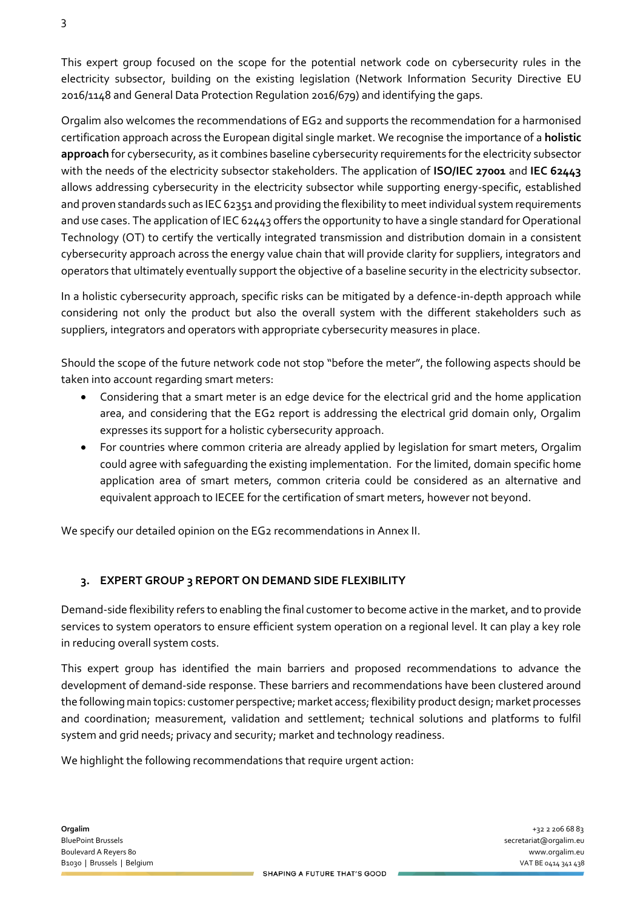This expert group focused on the scope for the potential network code on cybersecurity rules in the electricity subsector, building on the existing legislation (Network Information Security Directive EU 2016/1148 and General Data Protection Regulation 2016/679) and identifying the gaps.

Orgalim also welcomes the recommendations of EG2 and supports the recommendation for a harmonised certification approach across the European digital single market. We recognise the importance of a **holistic approach** for cybersecurity, as it combines baseline cybersecurity requirements for the electricity subsector with the needs of the electricity subsector stakeholders. The application of **ISO/IEC 27001** and **IEC 62443** allows addressing cybersecurity in the electricity subsector while supporting energy-specific, established and proven standards such as IEC 62351 and providing the flexibility to meet individual system requirements and use cases. The application of IEC 62443 offers the opportunity to have a single standard for Operational Technology (OT) to certify the vertically integrated transmission and distribution domain in a consistent cybersecurity approach across the energy value chain that will provide clarity for suppliers, integrators and operators that ultimately eventually support the objective of a baseline security in the electricity subsector.

In a holistic cybersecurity approach, specific risks can be mitigated by a defence-in-depth approach while considering not only the product but also the overall system with the different stakeholders such as suppliers, integrators and operators with appropriate cybersecurity measures in place.

Should the scope of the future network code not stop "before the meter", the following aspects should be taken into account regarding smart meters:

- Considering that a smart meter is an edge device for the electrical grid and the home application area, and considering that the EG2 report is addressing the electrical grid domain only, Orgalim expresses its support for a holistic cybersecurity approach.
- For countries where common criteria are already applied by legislation for smart meters, Orgalim could agree with safeguarding the existing implementation. For the limited, domain specific home application area of smart meters, common criteria could be considered as an alternative and equivalent approach to IECEE for the certification of smart meters, however not beyond.

We specify our detailed opinion on the EG2 recommendations in Annex II.

### **3. EXPERT GROUP 3 REPORT ON DEMAND SIDE FLEXIBILITY**

Demand-side flexibility refers to enabling the final customer to become active in the market, and to provide services to system operators to ensure efficient system operation on a regional level. It can play a key role in reducing overall system costs.

This expert group has identified the main barriers and proposed recommendations to advance the development of demand-side response. These barriers and recommendations have been clustered around the following main topics: customer perspective; market access; flexibility product design; market processes and coordination; measurement, validation and settlement; technical solutions and platforms to fulfil system and grid needs; privacy and security; market and technology readiness.

We highlight the following recommendations that require urgent action: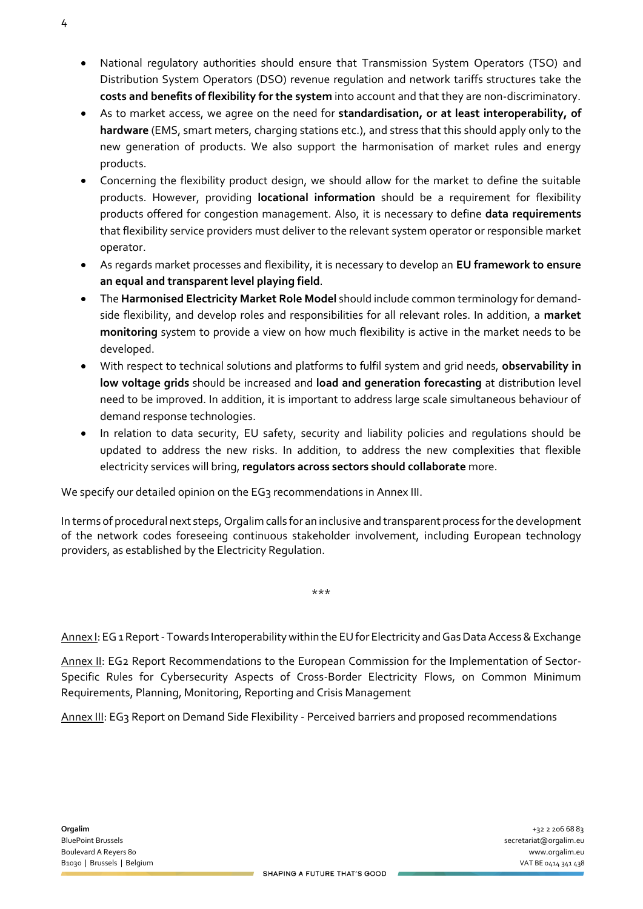- National regulatory authorities should ensure that Transmission System Operators (TSO) and Distribution System Operators (DSO) revenue regulation and network tariffs structures take the **costs and benefits of flexibility for the system** into account and that they are non-discriminatory.
- As to market access, we agree on the need for **standardisation, or at least interoperability, of hardware** (EMS, smart meters, charging stations etc.), and stress that this should apply only to the new generation of products. We also support the harmonisation of market rules and energy products.
- Concerning the flexibility product design, we should allow for the market to define the suitable products. However, providing **locational information** should be a requirement for flexibility products offered for congestion management. Also, it is necessary to define **data requirements** that flexibility service providers must deliver to the relevant system operator or responsible market operator.
- As regards market processes and flexibility, it is necessary to develop an **EU framework to ensure an equal and transparent level playing field**.
- The **Harmonised Electricity Market Role Model** should include common terminology for demandside flexibility, and develop roles and responsibilities for all relevant roles. In addition, a **market monitoring** system to provide a view on how much flexibility is active in the market needs to be developed.
- With respect to technical solutions and platforms to fulfil system and grid needs, **observability in low voltage grids** should be increased and **load and generation forecasting** at distribution level need to be improved. In addition, it is important to address large scale simultaneous behaviour of demand response technologies.
- In relation to data security, EU safety, security and liability policies and regulations should be updated to address the new risks. In addition, to address the new complexities that flexible electricity services will bring, **regulators across sectors should collaborate** more.

We specify our detailed opinion on the EG3 recommendations in Annex III.

In terms of procedural next steps, Orgalim calls for an inclusive and transparent process forthe development of the network codes foreseeing continuous stakeholder involvement, including European technology providers, as established by the Electricity Regulation.

Annex I: EG 1 Report - Towards Interoperability within the EU for Electricity and Gas Data Access & Exchange

\*\*\*

Annex II: EG2 Report Recommendations to the European Commission for the Implementation of Sector-Specific Rules for Cybersecurity Aspects of Cross-Border Electricity Flows, on Common Minimum Requirements, Planning, Monitoring, Reporting and Crisis Management

Annex III: EG3 Report on Demand Side Flexibility - Perceived barriers and proposed recommendations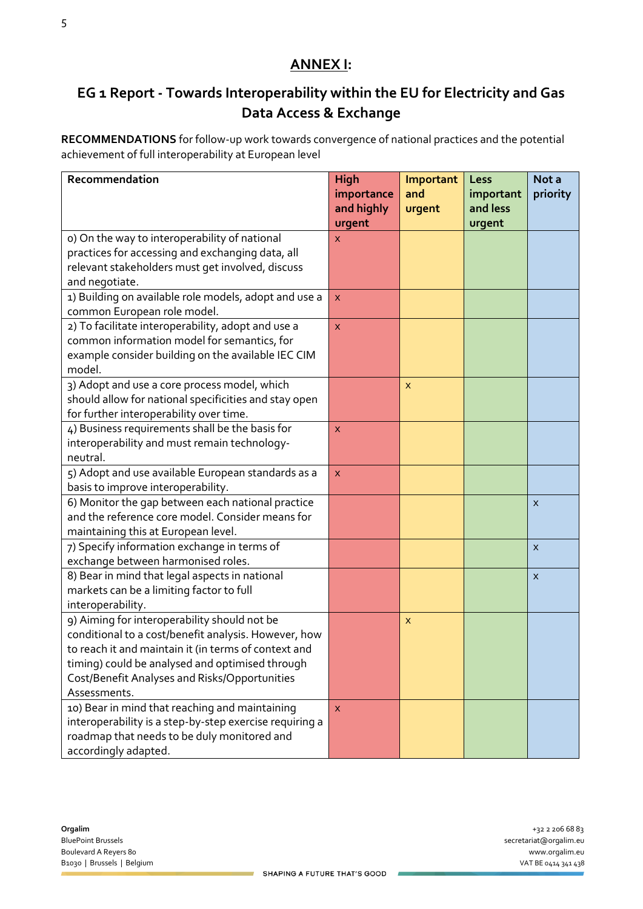### **ANNEX I:**

# **EG 1 Report - Towards Interoperability within the EU for Electricity and Gas Data Access & Exchange**

**RECOMMENDATIONS** for follow-up work towards convergence of national practices and the potential achievement of full interoperability at European level

| Recommendation                                          | <b>High</b>  | Important | Less      | Not a                     |
|---------------------------------------------------------|--------------|-----------|-----------|---------------------------|
|                                                         | importance   | and       | important | priority                  |
|                                                         | and highly   | urgent    | and less  |                           |
|                                                         | urgent       |           | urgent    |                           |
| o) On the way to interoperability of national           | x            |           |           |                           |
| practices for accessing and exchanging data, all        |              |           |           |                           |
| relevant stakeholders must get involved, discuss        |              |           |           |                           |
| and negotiate.                                          |              |           |           |                           |
| 1) Building on available role models, adopt and use a   | X            |           |           |                           |
| common European role model.                             |              |           |           |                           |
| 2) To facilitate interoperability, adopt and use a      | $\mathsf{x}$ |           |           |                           |
| common information model for semantics, for             |              |           |           |                           |
| example consider building on the available IEC CIM      |              |           |           |                           |
| model.                                                  |              |           |           |                           |
| 3) Adopt and use a core process model, which            |              | X         |           |                           |
| should allow for national specificities and stay open   |              |           |           |                           |
| for further interoperability over time.                 |              |           |           |                           |
| 4) Business requirements shall be the basis for         | X            |           |           |                           |
| interoperability and must remain technology-            |              |           |           |                           |
| neutral.                                                |              |           |           |                           |
| 5) Adopt and use available European standards as a      | $\mathsf{x}$ |           |           |                           |
| basis to improve interoperability.                      |              |           |           |                           |
| 6) Monitor the gap between each national practice       |              |           |           | X                         |
| and the reference core model. Consider means for        |              |           |           |                           |
| maintaining this at European level.                     |              |           |           |                           |
| 7) Specify information exchange in terms of             |              |           |           | $\boldsymbol{\mathsf{x}}$ |
| exchange between harmonised roles.                      |              |           |           |                           |
| 8) Bear in mind that legal aspects in national          |              |           |           | X                         |
| markets can be a limiting factor to full                |              |           |           |                           |
| interoperability.                                       |              |           |           |                           |
| 9) Aiming for interoperability should not be            |              | X         |           |                           |
| conditional to a cost/benefit analysis. However, how    |              |           |           |                           |
| to reach it and maintain it (in terms of context and    |              |           |           |                           |
| timing) could be analysed and optimised through         |              |           |           |                           |
| Cost/Benefit Analyses and Risks/Opportunities           |              |           |           |                           |
| Assessments.                                            |              |           |           |                           |
| 10) Bear in mind that reaching and maintaining          | $\mathsf{x}$ |           |           |                           |
| interoperability is a step-by-step exercise requiring a |              |           |           |                           |
| roadmap that needs to be duly monitored and             |              |           |           |                           |
| accordingly adapted.                                    |              |           |           |                           |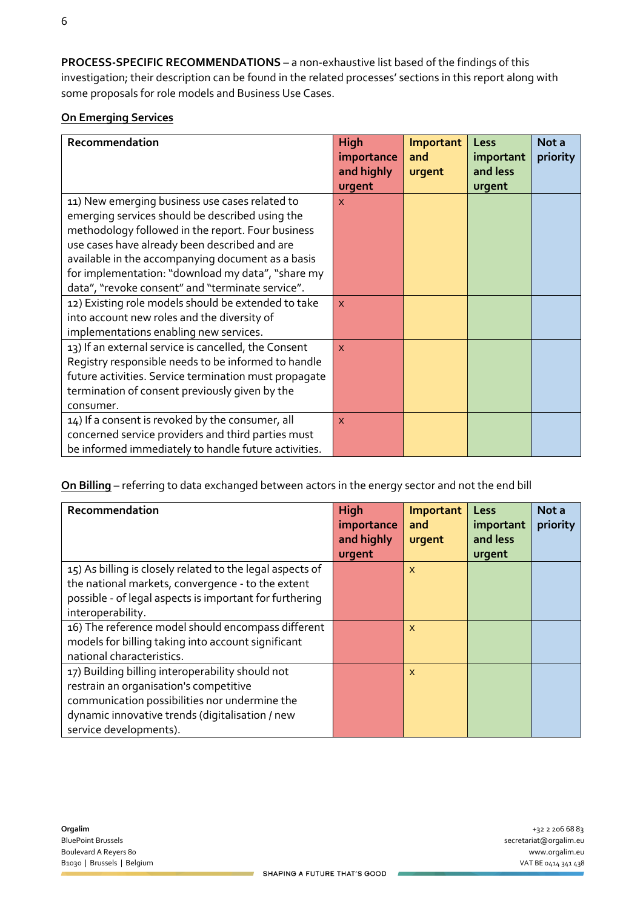**PROCESS-SPECIFIC RECOMMENDATIONS** – a non-exhaustive list based of the findings of this investigation; their description can be found in the related processes' sections in this report along with some proposals for role models and Business Use Cases.

#### **On Emerging Services**

| Recommendation                                        | High                     | <b>Important</b> | Less                  | Not a    |
|-------------------------------------------------------|--------------------------|------------------|-----------------------|----------|
|                                                       | importance<br>and highly | and<br>urgent    | important<br>and less | priority |
|                                                       | urgent                   |                  | urgent                |          |
| 11) New emerging business use cases related to        | X                        |                  |                       |          |
| emerging services should be described using the       |                          |                  |                       |          |
| methodology followed in the report. Four business     |                          |                  |                       |          |
| use cases have already been described and are         |                          |                  |                       |          |
| available in the accompanying document as a basis     |                          |                  |                       |          |
| for implementation: "download my data", "share my     |                          |                  |                       |          |
| data", "revoke consent" and "terminate service".      |                          |                  |                       |          |
| 12) Existing role models should be extended to take   | $\mathsf{x}$             |                  |                       |          |
| into account new roles and the diversity of           |                          |                  |                       |          |
| implementations enabling new services.                |                          |                  |                       |          |
| 13) If an external service is cancelled, the Consent  | $\mathsf{x}$             |                  |                       |          |
| Registry responsible needs to be informed to handle   |                          |                  |                       |          |
| future activities. Service termination must propagate |                          |                  |                       |          |
| termination of consent previously given by the        |                          |                  |                       |          |
| consumer.                                             |                          |                  |                       |          |
| 14) If a consent is revoked by the consumer, all      | $\mathsf{x}$             |                  |                       |          |
| concerned service providers and third parties must    |                          |                  |                       |          |
| be informed immediately to handle future activities.  |                          |                  |                       |          |

**On Billing** – referring to data exchanged between actors in the energy sector and not the end bill

| Recommendation                                            | <b>High</b> | Important    | Less      | Not a    |
|-----------------------------------------------------------|-------------|--------------|-----------|----------|
|                                                           | importance  | and          | important | priority |
|                                                           | and highly  | urgent       | and less  |          |
|                                                           | urgent      |              | urgent    |          |
| 15) As billing is closely related to the legal aspects of |             | X            |           |          |
| the national markets, convergence - to the extent         |             |              |           |          |
| possible - of legal aspects is important for furthering   |             |              |           |          |
| interoperability.                                         |             |              |           |          |
| 16) The reference model should encompass different        |             | $\mathsf{x}$ |           |          |
| models for billing taking into account significant        |             |              |           |          |
| national characteristics.                                 |             |              |           |          |
| 17) Building billing interoperability should not          |             | $\mathsf{x}$ |           |          |
| restrain an organisation's competitive                    |             |              |           |          |
| communication possibilities nor undermine the             |             |              |           |          |
| dynamic innovative trends (digitalisation / new           |             |              |           |          |
| service developments).                                    |             |              |           |          |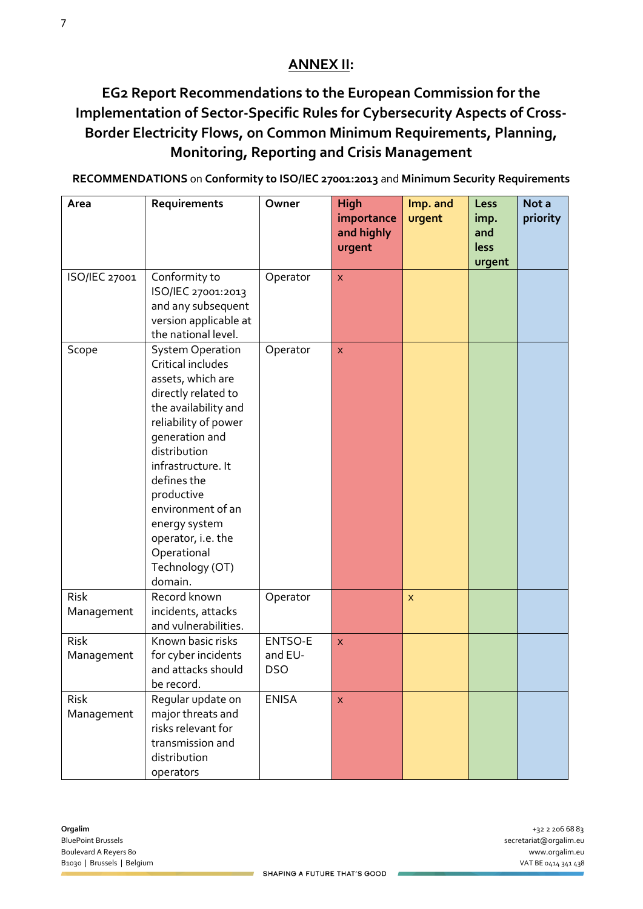## **ANNEX II:**

# **EG2 Report Recommendations to the European Commission for the Implementation of Sector-Specific Rules for Cybersecurity Aspects of Cross-Border Electricity Flows, on Common Minimum Requirements, Planning, Monitoring, Reporting and Crisis Management**

**RECOMMENDATIONS** on **Conformity to ISO/IEC 27001:2013** and **Minimum Security Requirements**

| Area                      | Requirements                                                                                                                                                                                                                                                                                                                           | Owner                            | <b>High</b><br>importance<br>and highly<br>urgent | Imp. and<br>urgent        | Less<br>imp.<br>and<br>less | Not a<br>priority |
|---------------------------|----------------------------------------------------------------------------------------------------------------------------------------------------------------------------------------------------------------------------------------------------------------------------------------------------------------------------------------|----------------------------------|---------------------------------------------------|---------------------------|-----------------------------|-------------------|
|                           |                                                                                                                                                                                                                                                                                                                                        |                                  |                                                   |                           | urgent                      |                   |
| ISO/IEC 27001             | Conformity to<br>ISO/IEC 27001:2013<br>and any subsequent<br>version applicable at<br>the national level.                                                                                                                                                                                                                              | Operator                         | $\pmb{\times}$                                    |                           |                             |                   |
| Scope                     | <b>System Operation</b><br>Critical includes<br>assets, which are<br>directly related to<br>the availability and<br>reliability of power<br>generation and<br>distribution<br>infrastructure. It<br>defines the<br>productive<br>environment of an<br>energy system<br>operator, i.e. the<br>Operational<br>Technology (OT)<br>domain. | Operator                         | $\mathsf{x}$                                      |                           |                             |                   |
| Risk<br>Management        | Record known<br>incidents, attacks<br>and vulnerabilities.                                                                                                                                                                                                                                                                             | Operator                         |                                                   | $\boldsymbol{\mathsf{x}}$ |                             |                   |
| <b>Risk</b><br>Management | Known basic risks<br>for cyber incidents<br>and attacks should<br>be record.                                                                                                                                                                                                                                                           | ENTSO-E<br>and EU-<br><b>DSO</b> | X.                                                |                           |                             |                   |
| <b>Risk</b><br>Management | Regular update on<br>major threats and<br>risks relevant for<br>transmission and<br>distribution<br>operators                                                                                                                                                                                                                          | <b>ENISA</b>                     | X                                                 |                           |                             |                   |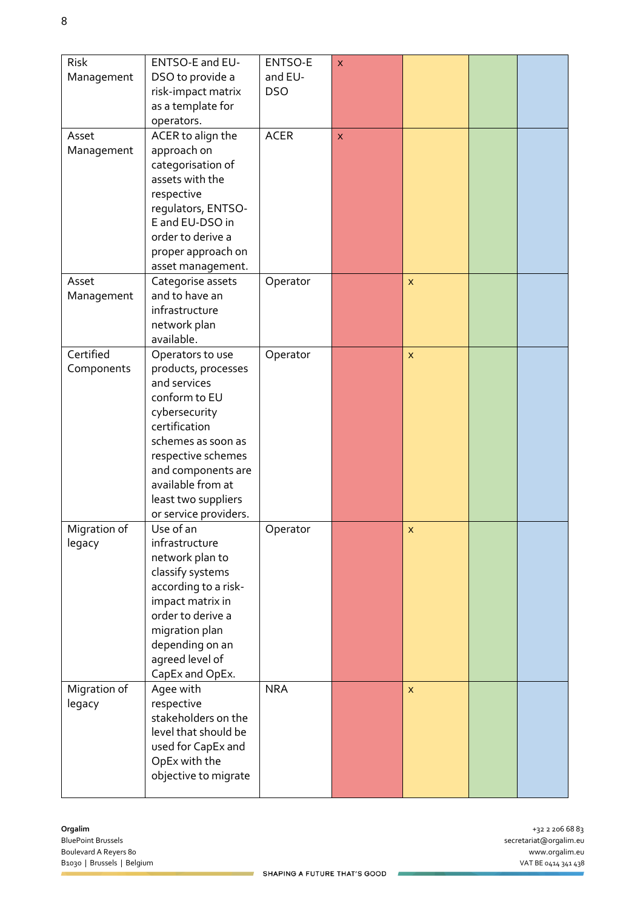| Risk<br>Management      | ENTSO-E and EU-<br>DSO to provide a<br>risk-impact matrix<br>as a template for<br>operators.                                                                                                                                                      | ENTSO-E<br>and EU-<br><b>DSO</b> | X                       |              |  |
|-------------------------|---------------------------------------------------------------------------------------------------------------------------------------------------------------------------------------------------------------------------------------------------|----------------------------------|-------------------------|--------------|--|
| Asset<br>Management     | ACER to align the<br>approach on<br>categorisation of<br>assets with the<br>respective<br>regulators, ENTSO-<br>E and EU-DSO in<br>order to derive a<br>proper approach on<br>asset management.                                                   | <b>ACER</b>                      | $\overline{\mathsf{x}}$ |              |  |
| Asset<br>Management     | Categorise assets<br>and to have an<br>infrastructure<br>network plan<br>available.                                                                                                                                                               | Operator                         |                         | $\mathsf{x}$ |  |
| Certified<br>Components | Operators to use<br>products, processes<br>and services<br>conform to EU<br>cybersecurity<br>certification<br>schemes as soon as<br>respective schemes<br>and components are<br>available from at<br>least two suppliers<br>or service providers. | Operator                         |                         | $\mathsf{x}$ |  |
| Migration of<br>legacy  | Use of an<br>infrastructure<br>network plan to<br>classify systems<br>according to a risk-<br>impact matrix in<br>order to derive a<br>migration plan<br>depending on an<br>agreed level of<br>CapEx and OpEx.                                    | Operator                         |                         | $\mathsf{x}$ |  |
| Migration of<br>legacy  | Agee with<br>respective<br>stakeholders on the<br>level that should be<br>used for CapEx and<br>OpEx with the<br>objective to migrate                                                                                                             | <b>NRA</b>                       |                         | $\mathsf{x}$ |  |

 $\mathcal{L}$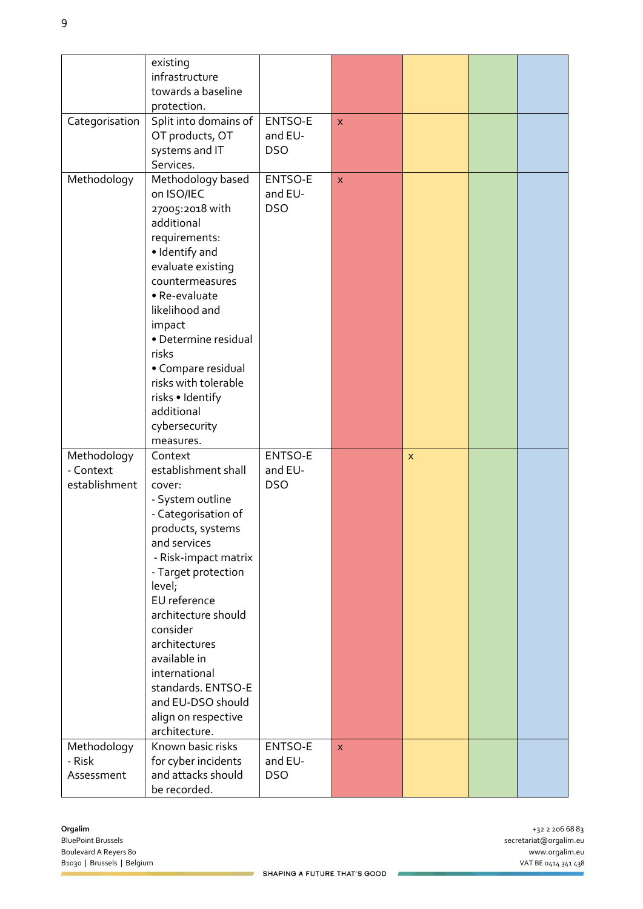|                                           | existing<br>infrastructure<br>towards a baseline<br>protection.                                                                                                                                                                                                                                                                                                           |                                  |                         |              |  |
|-------------------------------------------|---------------------------------------------------------------------------------------------------------------------------------------------------------------------------------------------------------------------------------------------------------------------------------------------------------------------------------------------------------------------------|----------------------------------|-------------------------|--------------|--|
| Categorisation                            | Split into domains of<br>OT products, OT<br>systems and IT<br>Services.                                                                                                                                                                                                                                                                                                   | ENTSO-E<br>and EU-<br><b>DSO</b> | $\overline{\mathsf{x}}$ |              |  |
| Methodology                               | Methodology based<br>on ISO/IEC<br>27005:2018 with<br>additional<br>requirements:<br>· Identify and<br>evaluate existing<br>countermeasures<br>· Re-evaluate<br>likelihood and<br>impact<br>· Determine residual<br>risks<br>• Compare residual<br>risks with tolerable<br>risks · Identify<br>additional<br>cybersecurity<br>measures.                                   | ENTSO-E<br>and EU-<br><b>DSO</b> | $\pmb{\times}$          |              |  |
| Methodology<br>- Context<br>establishment | Context<br>establishment shall<br>cover:<br>- System outline<br>- Categorisation of<br>products, systems<br>and services<br>- Risk-impact matrix<br>- Target protection<br>level;<br>EU reference<br>architecture should<br>consider<br>architectures<br>available in<br>international<br>standards. ENTSO-E<br>and EU-DSO should<br>align on respective<br>architecture. | ENTSO-E<br>and EU-<br><b>DSO</b> |                         | $\mathsf{x}$ |  |
| Methodology<br>- Risk<br>Assessment       | Known basic risks<br>for cyber incidents<br>and attacks should<br>be recorded.                                                                                                                                                                                                                                                                                            | ENTSO-E<br>and EU-<br><b>DSO</b> | $\mathsf{x}$            |              |  |

ż,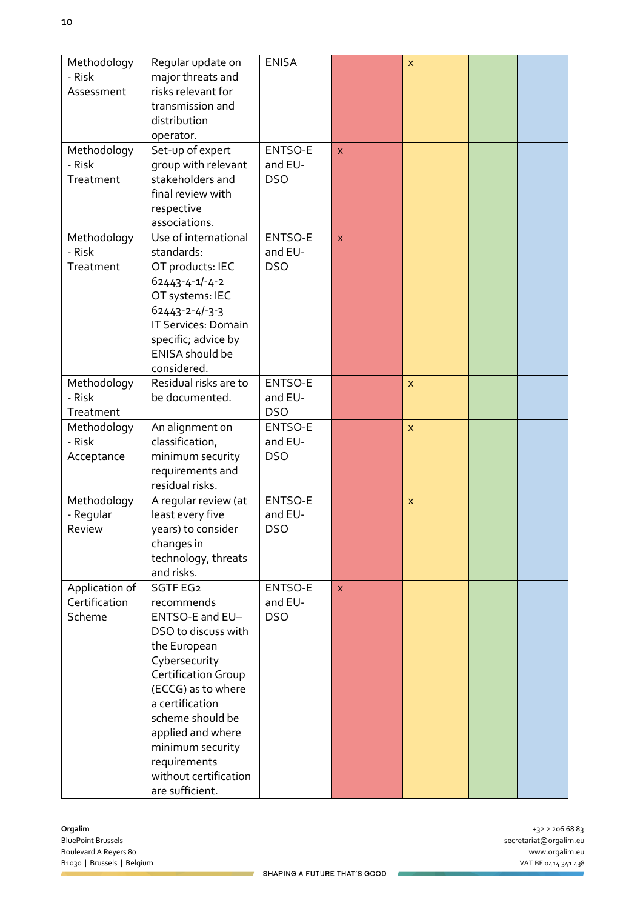| Methodology<br>- Risk<br>Assessment       | Regular update on<br>major threats and<br>risks relevant for<br>transmission and<br>distribution<br>operator.                                                                                                                                                                              | <b>ENISA</b>                     |                         | X                       |  |
|-------------------------------------------|--------------------------------------------------------------------------------------------------------------------------------------------------------------------------------------------------------------------------------------------------------------------------------------------|----------------------------------|-------------------------|-------------------------|--|
| Methodology<br>- Risk<br>Treatment        | Set-up of expert<br>group with relevant<br>stakeholders and<br>final review with<br>respective<br>associations.                                                                                                                                                                            | ENTSO-E<br>and EU-<br><b>DSO</b> | X                       |                         |  |
| Methodology<br>- Risk<br>Treatment        | Use of international<br>standards:<br>OT products: IEC<br>$62443 - 4 - 1 - 4 - 2$<br>OT systems: IEC<br>$62443 - 2 - 4 - 3 - 3$<br>IT Services: Domain<br>specific; advice by<br><b>ENISA</b> should be<br>considered.                                                                     | ENTSO-E<br>and EU-<br><b>DSO</b> | $\overline{\mathsf{x}}$ |                         |  |
| Methodology<br>- Risk<br>Treatment        | Residual risks are to<br>be documented.                                                                                                                                                                                                                                                    | ENTSO-E<br>and EU-<br><b>DSO</b> |                         | X                       |  |
| Methodology<br>- Risk<br>Acceptance       | An alignment on<br>classification,<br>minimum security<br>requirements and<br>residual risks.                                                                                                                                                                                              | ENTSO-E<br>and EU-<br><b>DSO</b> |                         | $\overline{\mathsf{x}}$ |  |
| Methodology<br>- Regular<br>Review        | A regular review (at<br>least every five<br>years) to consider<br>changes in<br>technology, threats<br>and risks.                                                                                                                                                                          | ENTSO-E<br>and EU-<br><b>DSO</b> |                         | $\mathsf{x}$            |  |
| Application of<br>Certification<br>Scheme | SGTF EG2<br>recommends<br>ENTSO-E and EU-<br>DSO to discuss with<br>the European<br>Cybersecurity<br>Certification Group<br>(ECCG) as to where<br>a certification<br>scheme should be<br>applied and where<br>minimum security<br>requirements<br>without certification<br>are sufficient. | ENTSO-E<br>and EU-<br><b>DSO</b> | X.                      |                         |  |

ż,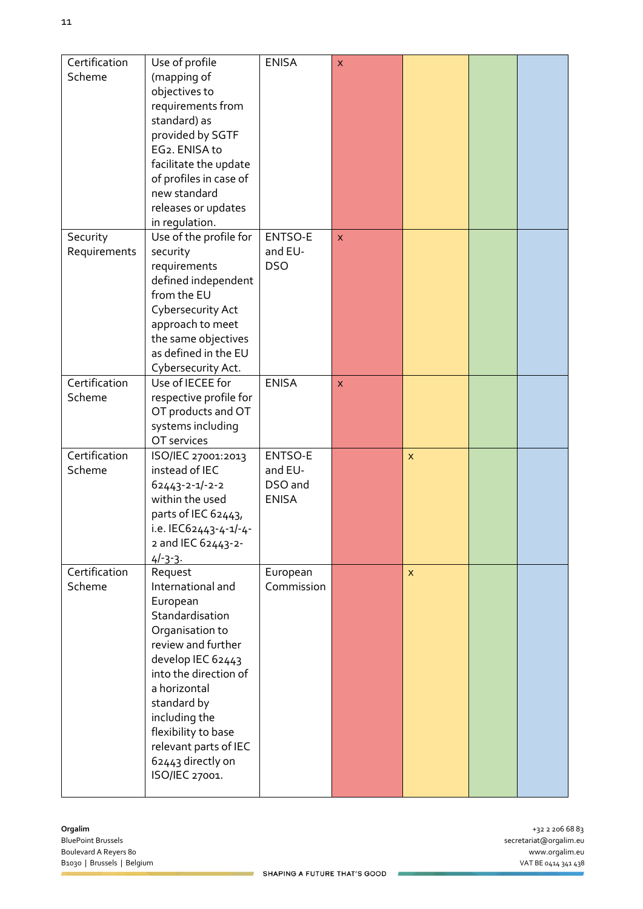| Certification | Use of profile                     | <b>ENISA</b> | $\mathsf{x}$       |              |  |
|---------------|------------------------------------|--------------|--------------------|--------------|--|
| Scheme        | (mapping of                        |              |                    |              |  |
|               | objectives to                      |              |                    |              |  |
|               | requirements from                  |              |                    |              |  |
|               | standard) as                       |              |                    |              |  |
|               | provided by SGTF                   |              |                    |              |  |
|               | EG2. ENISA to                      |              |                    |              |  |
|               | facilitate the update              |              |                    |              |  |
|               | of profiles in case of             |              |                    |              |  |
|               | new standard                       |              |                    |              |  |
|               | releases or updates                |              |                    |              |  |
|               | in regulation.                     |              |                    |              |  |
| Security      | Use of the profile for             | ENTSO-E      | $\pmb{\mathsf{X}}$ |              |  |
| Requirements  | security                           | and EU-      |                    |              |  |
|               | requirements                       | <b>DSO</b>   |                    |              |  |
|               | defined independent<br>from the EU |              |                    |              |  |
|               | Cybersecurity Act                  |              |                    |              |  |
|               | approach to meet                   |              |                    |              |  |
|               | the same objectives                |              |                    |              |  |
|               | as defined in the EU               |              |                    |              |  |
|               | Cybersecurity Act.                 |              |                    |              |  |
| Certification | Use of IECEE for                   | <b>ENISA</b> | $\mathsf{x}$       |              |  |
| Scheme        | respective profile for             |              |                    |              |  |
|               | OT products and OT                 |              |                    |              |  |
|               | systems including                  |              |                    |              |  |
|               | OT services                        |              |                    |              |  |
| Certification | ISO/IEC 27001:2013                 | ENTSO-E      |                    | $\mathsf{x}$ |  |
| Scheme        | instead of IEC                     | and EU-      |                    |              |  |
|               | $62443 - 2 - 1/-2 - 2$             | DSO and      |                    |              |  |
|               | within the used                    | <b>ENISA</b> |                    |              |  |
|               | parts of IEC 62443,                |              |                    |              |  |
|               | i.e. IEC62443-4-1/-4-              |              |                    |              |  |
|               | 2 and IEC 62443-2-                 |              |                    |              |  |
|               | $4/-3-3$ .                         |              |                    |              |  |
| Certification | Request                            | European     |                    | $\mathsf{x}$ |  |
| Scheme        | International and                  | Commission   |                    |              |  |
|               | European<br>Standardisation        |              |                    |              |  |
|               | Organisation to                    |              |                    |              |  |
|               | review and further                 |              |                    |              |  |
|               | develop IEC 62443                  |              |                    |              |  |
|               | into the direction of              |              |                    |              |  |
|               | a horizontal                       |              |                    |              |  |
|               | standard by                        |              |                    |              |  |
|               | including the                      |              |                    |              |  |
|               | flexibility to base                |              |                    |              |  |
|               | relevant parts of IEC              |              |                    |              |  |
|               | 62443 directly on                  |              |                    |              |  |
|               | ISO/IEC 27001.                     |              |                    |              |  |
|               |                                    |              |                    |              |  |

 $\mathcal{L}$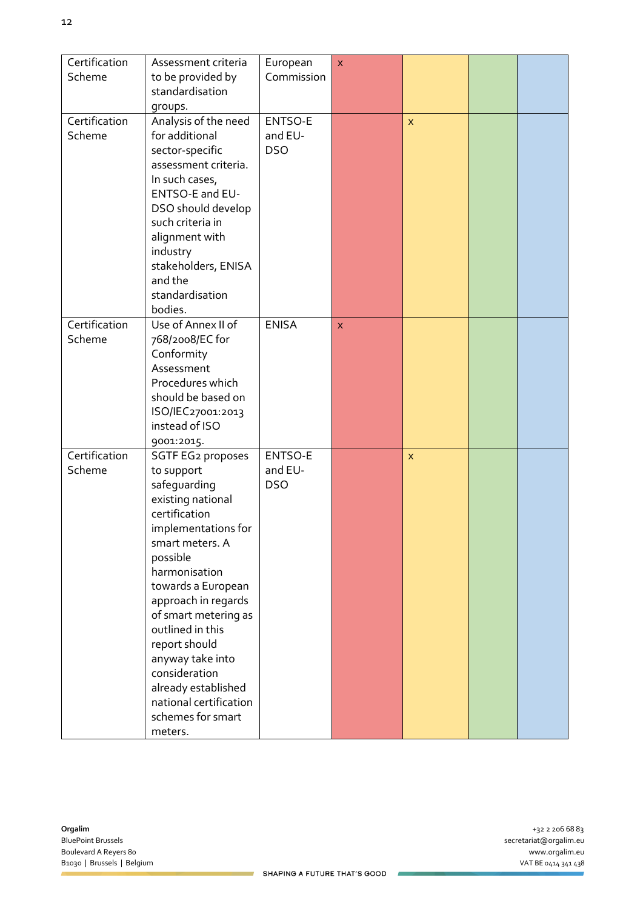| Certification<br>Assessment criteria<br>European<br>$\pmb{\times}$             |  |
|--------------------------------------------------------------------------------|--|
| Commission<br>Scheme<br>to be provided by                                      |  |
| standardisation                                                                |  |
| groups.                                                                        |  |
| Certification<br>Analysis of the need<br>ENTSO-E<br>$\pmb{\times}$             |  |
| for additional<br>and EU-<br>Scheme                                            |  |
| <b>DSO</b><br>sector-specific                                                  |  |
| assessment criteria.                                                           |  |
| In such cases,                                                                 |  |
| ENTSO-E and EU-                                                                |  |
| DSO should develop                                                             |  |
| such criteria in                                                               |  |
| alignment with<br>industry                                                     |  |
| stakeholders, ENISA                                                            |  |
| and the                                                                        |  |
| standardisation                                                                |  |
| bodies.                                                                        |  |
| Certification<br>Use of Annex II of<br><b>ENISA</b><br>$\overline{\mathsf{x}}$ |  |
| Scheme<br>768/2008/EC for                                                      |  |
| Conformity                                                                     |  |
| Assessment                                                                     |  |
| Procedures which                                                               |  |
| should be based on                                                             |  |
| ISO/IEC27001:2013<br>instead of ISO                                            |  |
| 9001:2015.                                                                     |  |
| Certification<br>ENTSO-E<br>SGTF EG2 proposes<br>$\mathsf{x}$                  |  |
| Scheme<br>and EU-<br>to support                                                |  |
| safeguarding<br><b>DSO</b>                                                     |  |
| existing national                                                              |  |
| certification                                                                  |  |
| implementations for                                                            |  |
| smart meters. A                                                                |  |
| possible                                                                       |  |
| harmonisation                                                                  |  |
| towards a European                                                             |  |
| approach in regards                                                            |  |
| of smart metering as                                                           |  |
| outlined in this                                                               |  |
| report should                                                                  |  |
| anyway take into<br>consideration                                              |  |
|                                                                                |  |
| already established<br>national certification                                  |  |
| schemes for smart                                                              |  |
|                                                                                |  |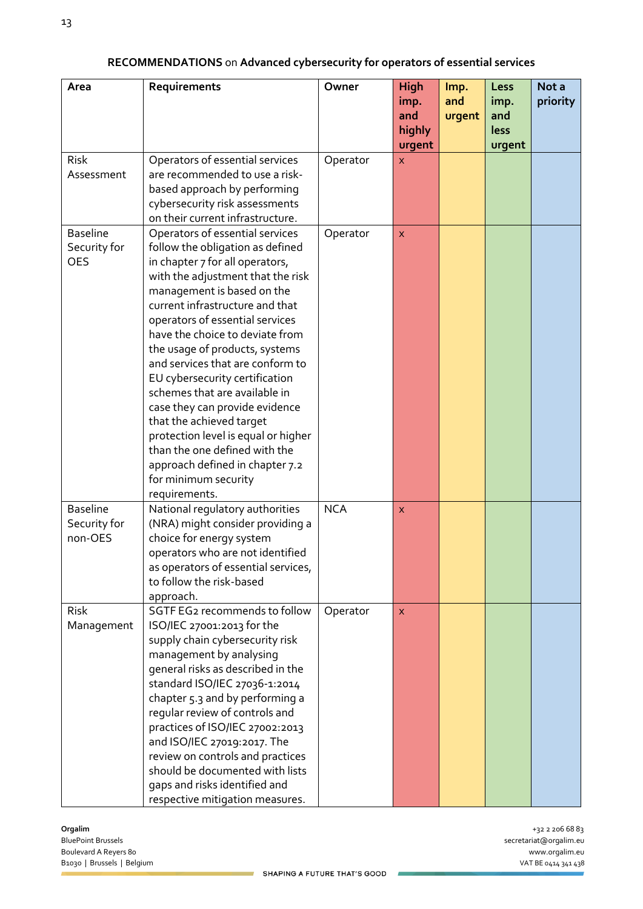| Area                                          | Requirements                                                                                                                                                                                                                                                                                                                                                                                                                                                                                                                                                                                                                                  | Owner      | <b>High</b><br>imp.<br>and<br>highly<br>urgent | Imp.<br>and<br>urgent | Less<br>imp.<br>and<br><b>less</b><br>urgent | Not a<br>priority |
|-----------------------------------------------|-----------------------------------------------------------------------------------------------------------------------------------------------------------------------------------------------------------------------------------------------------------------------------------------------------------------------------------------------------------------------------------------------------------------------------------------------------------------------------------------------------------------------------------------------------------------------------------------------------------------------------------------------|------------|------------------------------------------------|-----------------------|----------------------------------------------|-------------------|
| <b>Risk</b><br>Assessment                     | Operators of essential services<br>are recommended to use a risk-<br>based approach by performing<br>cybersecurity risk assessments<br>on their current infrastructure.                                                                                                                                                                                                                                                                                                                                                                                                                                                                       | Operator   | $\overline{\mathsf{x}}$                        |                       |                                              |                   |
| <b>Baseline</b><br>Security for<br><b>OES</b> | Operators of essential services<br>follow the obligation as defined<br>in chapter 7 for all operators,<br>with the adjustment that the risk<br>management is based on the<br>current infrastructure and that<br>operators of essential services<br>have the choice to deviate from<br>the usage of products, systems<br>and services that are conform to<br>EU cybersecurity certification<br>schemes that are available in<br>case they can provide evidence<br>that the achieved target<br>protection level is equal or higher<br>than the one defined with the<br>approach defined in chapter 7.2<br>for minimum security<br>requirements. | Operator   | $\mathsf{x}$                                   |                       |                                              |                   |
| <b>Baseline</b><br>Security for<br>non-OES    | National regulatory authorities<br>(NRA) might consider providing a<br>choice for energy system<br>operators who are not identified<br>as operators of essential services,<br>to follow the risk-based<br>approach.                                                                                                                                                                                                                                                                                                                                                                                                                           | <b>NCA</b> | $\mathsf{x}$                                   |                       |                                              |                   |
| <b>Risk</b><br>Management                     | SGTF EG2 recommends to follow<br>ISO/IEC 27001:2013 for the<br>supply chain cybersecurity risk<br>management by analysing<br>general risks as described in the<br>standard ISO/IEC 27036-1:2014<br>chapter 5.3 and by performing a<br>regular review of controls and<br>practices of ISO/IEC 27002:2013<br>and ISO/IEC 27019:2017. The<br>review on controls and practices<br>should be documented with lists<br>gaps and risks identified and<br>respective mitigation measures.                                                                                                                                                             | Operator   | $\mathsf{x}$                                   |                       |                                              |                   |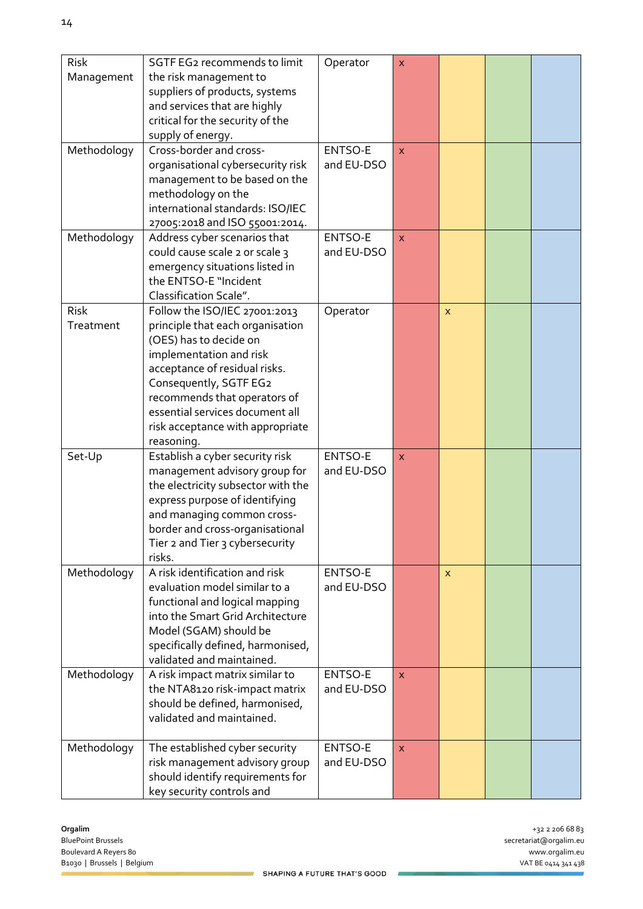| <b>Risk</b><br>Management | SGTF EG2 recommends to limit<br>the risk management to<br>suppliers of products, systems<br>and services that are highly<br>critical for the security of the<br>supply of energy.                                                                                                                      | Operator                     | $\pmb{\times}$          |                |  |
|---------------------------|--------------------------------------------------------------------------------------------------------------------------------------------------------------------------------------------------------------------------------------------------------------------------------------------------------|------------------------------|-------------------------|----------------|--|
| Methodology               | Cross-border and cross-<br>organisational cybersecurity risk<br>management to be based on the<br>methodology on the<br>international standards: ISO/IEC<br>27005:2018 and ISO 55001:2014.                                                                                                              | ENTSO-E<br>and EU-DSO        | $\bar{\mathsf{x}}$      |                |  |
| Methodology               | Address cyber scenarios that<br>could cause scale 2 or scale 3<br>emergency situations listed in<br>the ENTSO-E "Incident<br>Classification Scale".                                                                                                                                                    | <b>ENTSO-E</b><br>and EU-DSO | $\overline{\mathsf{x}}$ |                |  |
| Risk<br>Treatment         | Follow the ISO/IEC 27001:2013<br>principle that each organisation<br>(OES) has to decide on<br>implementation and risk<br>acceptance of residual risks.<br>Consequently, SGTF EG2<br>recommends that operators of<br>essential services document all<br>risk acceptance with appropriate<br>reasoning. | Operator                     |                         | $\pmb{\times}$ |  |
| Set-Up                    | Establish a cyber security risk<br>management advisory group for<br>the electricity subsector with the<br>express purpose of identifying<br>and managing common cross-<br>border and cross-organisational<br>Tier 2 and Tier 3 cybersecurity<br>risks.                                                 | ENTSO-E<br>and EU-DSO        | <b>X</b>                |                |  |
| Methodology               | A risk identification and risk<br>evaluation model similar to a<br>functional and logical mapping<br>into the Smart Grid Architecture<br>Model (SGAM) should be<br>specifically defined, harmonised,<br>validated and maintained.                                                                      | ENTSO-E<br>and EU-DSO        |                         | X              |  |
| Methodology               | A risk impact matrix similar to<br>the NTA8120 risk-impact matrix<br>should be defined, harmonised,<br>validated and maintained.                                                                                                                                                                       | ENTSO-E<br>and EU-DSO        | $\overline{\mathsf{x}}$ |                |  |
| Methodology               | The established cyber security<br>risk management advisory group<br>should identify requirements for<br>key security controls and                                                                                                                                                                      | ENTSO-E<br>and EU-DSO        | $\mathsf{x}$            |                |  |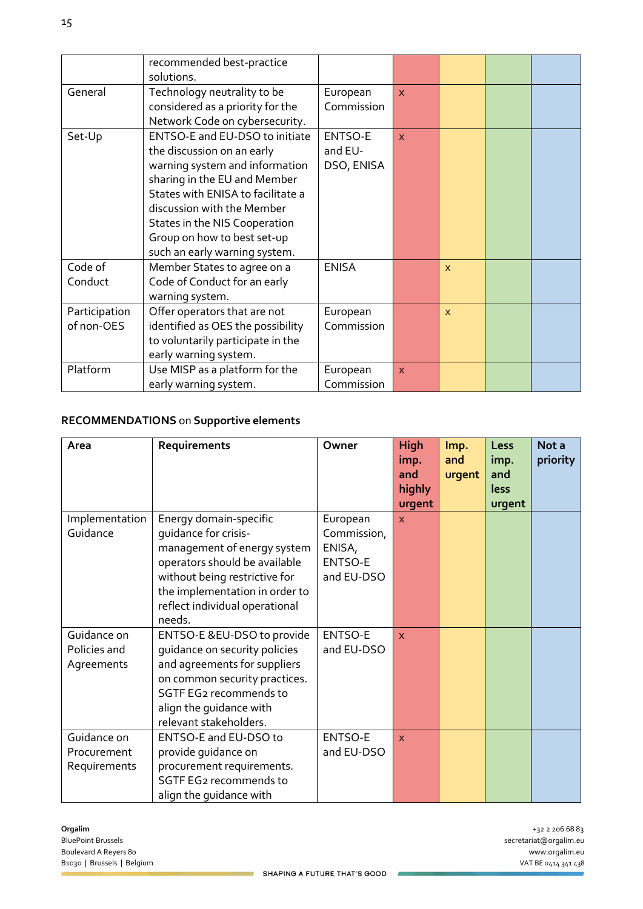|                             | recommended best-practice<br>solutions.                                                                                                                                                                                                                                                            |                                         |              |              |  |
|-----------------------------|----------------------------------------------------------------------------------------------------------------------------------------------------------------------------------------------------------------------------------------------------------------------------------------------------|-----------------------------------------|--------------|--------------|--|
| General                     | Technology neutrality to be<br>considered as a priority for the<br>Network Code on cybersecurity.                                                                                                                                                                                                  | European<br>Commission                  | $\mathbf{x}$ |              |  |
| Set-Up                      | ENTSO-E and EU-DSO to initiate<br>the discussion on an early<br>warning system and information<br>sharing in the EU and Member<br>States with ENISA to facilitate a<br>discussion with the Member<br>States in the NIS Cooperation<br>Group on how to best set-up<br>such an early warning system. | <b>ENTSO-E</b><br>and EU-<br>DSO, ENISA | $\mathbf{x}$ |              |  |
| Code of<br>Conduct          | Member States to agree on a<br>Code of Conduct for an early<br>warning system.                                                                                                                                                                                                                     | <b>ENISA</b>                            |              | $\mathsf{x}$ |  |
| Participation<br>of non-OES | Offer operators that are not<br>identified as OES the possibility<br>to voluntarily participate in the<br>early warning system.                                                                                                                                                                    | European<br>Commission                  |              | $\mathsf{X}$ |  |
| Platform                    | Use MISP as a platform for the<br>early warning system.                                                                                                                                                                                                                                            | European<br>Commission                  | $\mathsf{x}$ |              |  |

### **RECOMMENDATIONS** on **Supportive elements**

| Area                                       | Requirements                                                                                                                                                                                                                  | Owner                                                      | <b>High</b><br>imp.<br>and<br>highly<br>urgent | Imp.<br>and<br>urgent | Less<br>imp.<br>and<br><b>less</b><br>urgent | Not a<br>priority |
|--------------------------------------------|-------------------------------------------------------------------------------------------------------------------------------------------------------------------------------------------------------------------------------|------------------------------------------------------------|------------------------------------------------|-----------------------|----------------------------------------------|-------------------|
| Implementation<br>Guidance                 | Energy domain-specific<br>quidance for crisis-<br>management of energy system<br>operators should be available<br>without being restrictive for<br>the implementation in order to<br>reflect individual operational<br>needs. | European<br>Commission,<br>ENISA,<br>ENTSO-E<br>and EU-DSO | $\mathsf{x}$                                   |                       |                                              |                   |
| Guidance on<br>Policies and<br>Agreements  | ENTSO-E &EU-DSO to provide<br>guidance on security policies<br>and agreements for suppliers<br>on common security practices.<br>SGTF EG2 recommends to<br>align the guidance with<br>relevant stakeholders.                   | ENTSO-E<br>and EU-DSO                                      | $\mathsf{x}$                                   |                       |                                              |                   |
| Guidance on<br>Procurement<br>Requirements | ENTSO-E and EU-DSO to<br>provide guidance on<br>procurement requirements.<br>SGTF EG2 recommends to<br>align the guidance with                                                                                                | ENTSO-E<br>and EU-DSO                                      | $\overline{\mathsf{x}}$                        |                       |                                              |                   |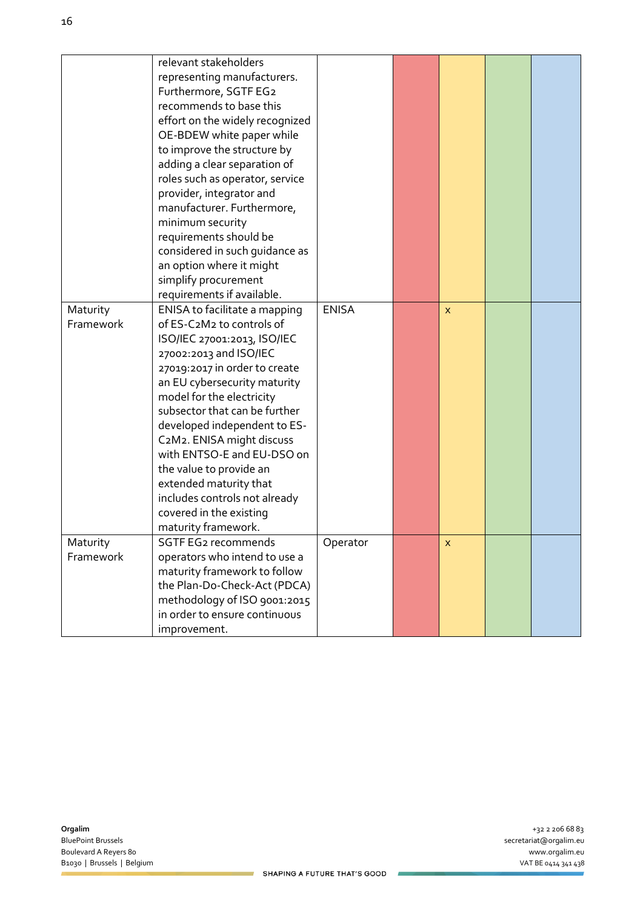|           | relevant stakeholders           |              |   |  |
|-----------|---------------------------------|--------------|---|--|
|           | representing manufacturers.     |              |   |  |
|           | Furthermore, SGTF EG2           |              |   |  |
|           | recommends to base this         |              |   |  |
|           | effort on the widely recognized |              |   |  |
|           | OE-BDEW white paper while       |              |   |  |
|           | to improve the structure by     |              |   |  |
|           | adding a clear separation of    |              |   |  |
|           | roles such as operator, service |              |   |  |
|           | provider, integrator and        |              |   |  |
|           | manufacturer. Furthermore,      |              |   |  |
|           | minimum security                |              |   |  |
|           | requirements should be          |              |   |  |
|           | considered in such guidance as  |              |   |  |
|           | an option where it might        |              |   |  |
|           | simplify procurement            |              |   |  |
|           | requirements if available.      |              |   |  |
| Maturity  | ENISA to facilitate a mapping   | <b>ENISA</b> | X |  |
| Framework | of ES-C2M2 to controls of       |              |   |  |
|           | ISO/IEC 27001:2013, ISO/IEC     |              |   |  |
|           | 27002:2013 and ISO/IEC          |              |   |  |
|           | 27019:2017 in order to create   |              |   |  |
|           | an EU cybersecurity maturity    |              |   |  |
|           | model for the electricity       |              |   |  |
|           | subsector that can be further   |              |   |  |
|           | developed independent to ES-    |              |   |  |
|           | C2M2. ENISA might discuss       |              |   |  |
|           | with ENTSO-E and EU-DSO on      |              |   |  |
|           | the value to provide an         |              |   |  |
|           | extended maturity that          |              |   |  |
|           | includes controls not already   |              |   |  |
|           | covered in the existing         |              |   |  |
|           | maturity framework.             |              |   |  |
| Maturity  | SGTF EG2 recommends             | Operator     | X |  |
| Framework | operators who intend to use a   |              |   |  |
|           | maturity framework to follow    |              |   |  |
|           | the Plan-Do-Check-Act (PDCA)    |              |   |  |
|           | methodology of ISO 9001:2015    |              |   |  |
|           | in order to ensure continuous   |              |   |  |
|           | improvement.                    |              |   |  |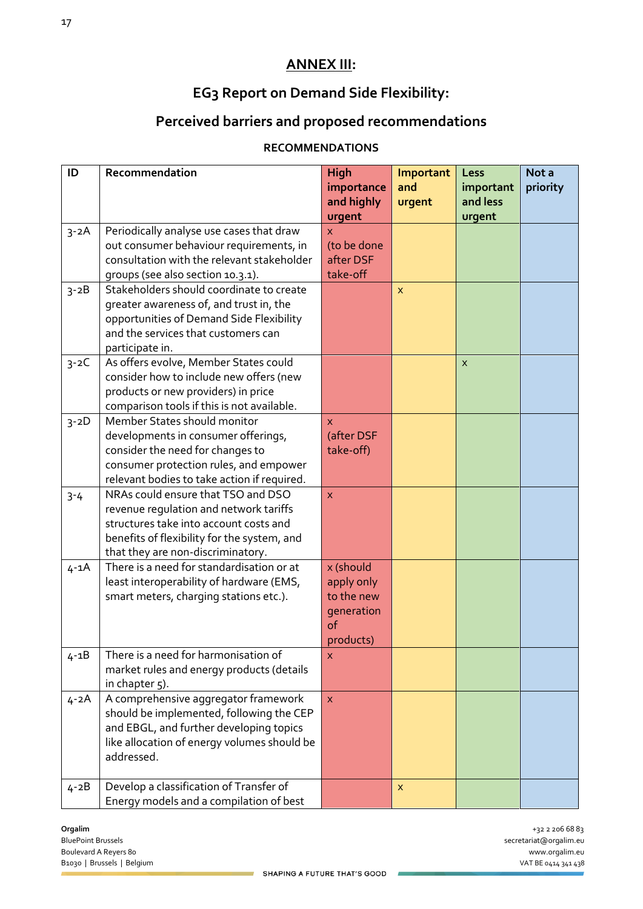# **ANNEX III:**

# **EG3 Report on Demand Side Flexibility:**

# **Perceived barriers and proposed recommendations**

#### **RECOMMENDATIONS**

| ID       | Recommendation                              | High                    | Important    | Less               | Not a    |
|----------|---------------------------------------------|-------------------------|--------------|--------------------|----------|
|          |                                             | importance              | and          | important          | priority |
|          |                                             | and highly<br>urgent    | urgent       | and less<br>urgent |          |
| $3 - 2A$ | Periodically analyse use cases that draw    | <b>X</b>                |              |                    |          |
|          | out consumer behaviour requirements, in     | (to be done             |              |                    |          |
|          | consultation with the relevant stakeholder  | after DSF               |              |                    |          |
|          | groups (see also section 10.3.1).           | take-off                |              |                    |          |
| $3 - 2B$ | Stakeholders should coordinate to create    |                         | $\mathsf{x}$ |                    |          |
|          | greater awareness of, and trust in, the     |                         |              |                    |          |
|          | opportunities of Demand Side Flexibility    |                         |              |                    |          |
|          | and the services that customers can         |                         |              |                    |          |
|          |                                             |                         |              |                    |          |
|          | participate in.                             |                         |              |                    |          |
| $3 - 2C$ | As offers evolve, Member States could       |                         |              | X                  |          |
|          | consider how to include new offers (new     |                         |              |                    |          |
|          | products or new providers) in price         |                         |              |                    |          |
|          | comparison tools if this is not available.  |                         |              |                    |          |
| $3 - 2D$ | Member States should monitor                | X.                      |              |                    |          |
|          | developments in consumer offerings,         | (after DSF              |              |                    |          |
|          | consider the need for changes to            | take-off)               |              |                    |          |
|          | consumer protection rules, and empower      |                         |              |                    |          |
|          | relevant bodies to take action if required. |                         |              |                    |          |
| $3 - 4$  | NRAs could ensure that TSO and DSO          | $\overline{\mathsf{x}}$ |              |                    |          |
|          | revenue regulation and network tariffs      |                         |              |                    |          |
|          | structures take into account costs and      |                         |              |                    |          |
|          | benefits of flexibility for the system, and |                         |              |                    |          |
|          | that they are non-discriminatory.           |                         |              |                    |          |
| $4 - 1A$ | There is a need for standardisation or at   | x (should               |              |                    |          |
|          | least interoperability of hardware (EMS,    | apply only              |              |                    |          |
|          | smart meters, charging stations etc.).      | to the new              |              |                    |          |
|          |                                             | generation              |              |                    |          |
|          |                                             | of                      |              |                    |          |
|          |                                             | products)               |              |                    |          |
| $4 - 1B$ | There is a need for harmonisation of        | X                       |              |                    |          |
|          | market rules and energy products (details   |                         |              |                    |          |
|          | in chapter 5).                              |                         |              |                    |          |
| $4 - 2A$ | A comprehensive aggregator framework        | $\mathsf{X}$            |              |                    |          |
|          | should be implemented, following the CEP    |                         |              |                    |          |
|          | and EBGL, and further developing topics     |                         |              |                    |          |
|          | like allocation of energy volumes should be |                         |              |                    |          |
|          | addressed.                                  |                         |              |                    |          |
|          |                                             |                         |              |                    |          |
| $4 - 2B$ | Develop a classification of Transfer of     |                         | X            |                    |          |
|          | Energy models and a compilation of best     |                         |              |                    |          |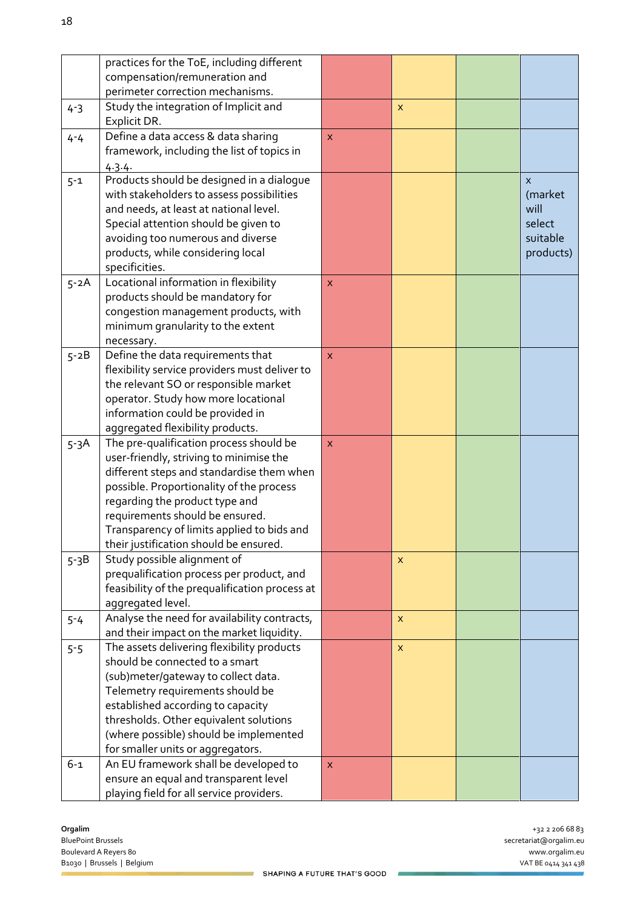|          | practices for the ToE, including different                                         |              |              |           |
|----------|------------------------------------------------------------------------------------|--------------|--------------|-----------|
|          | compensation/remuneration and                                                      |              |              |           |
|          | perimeter correction mechanisms.                                                   |              |              |           |
| $4 - 3$  | Study the integration of Implicit and                                              |              | $\mathsf{x}$ |           |
|          | Explicit DR.                                                                       |              |              |           |
| $4 - 4$  | Define a data access & data sharing                                                | <b>X</b>     |              |           |
|          | framework, including the list of topics in                                         |              |              |           |
|          | 4.3.4.                                                                             |              |              |           |
| $5 - 1$  | Products should be designed in a dialogue                                          |              |              | X         |
|          | with stakeholders to assess possibilities                                          |              |              | (market   |
|          | and needs, at least at national level.                                             |              |              | will      |
|          | Special attention should be given to                                               |              |              | select    |
|          | avoiding too numerous and diverse                                                  |              |              | suitable  |
|          | products, while considering local                                                  |              |              | products) |
|          | specificities.                                                                     |              |              |           |
| $5 - 2A$ | Locational information in flexibility                                              | $\mathsf{x}$ |              |           |
|          | products should be mandatory for                                                   |              |              |           |
|          | congestion management products, with                                               |              |              |           |
|          | minimum granularity to the extent                                                  |              |              |           |
|          | necessary.                                                                         |              |              |           |
| $5 - 2B$ | Define the data requirements that<br>flexibility service providers must deliver to | X            |              |           |
|          | the relevant SO or responsible market                                              |              |              |           |
|          | operator. Study how more locational                                                |              |              |           |
|          | information could be provided in                                                   |              |              |           |
|          | aggregated flexibility products.                                                   |              |              |           |
| $5-3A$   | The pre-qualification process should be                                            | X            |              |           |
|          | user-friendly, striving to minimise the                                            |              |              |           |
|          | different steps and standardise them when                                          |              |              |           |
|          | possible. Proportionality of the process                                           |              |              |           |
|          | regarding the product type and                                                     |              |              |           |
|          | requirements should be ensured.                                                    |              |              |           |
|          | Transparency of limits applied to bids and                                         |              |              |           |
|          | their justification should be ensured.                                             |              |              |           |
| $5-3B$   | Study possible alignment of                                                        |              | X            |           |
|          | prequalification process per product, and                                          |              |              |           |
|          | feasibility of the prequalification process at                                     |              |              |           |
|          | aggregated level.                                                                  |              |              |           |
| $5 - 4$  | Analyse the need for availability contracts,                                       |              | X            |           |
|          | and their impact on the market liquidity.                                          |              |              |           |
| $5 - 5$  | The assets delivering flexibility products                                         |              | X            |           |
|          | should be connected to a smart                                                     |              |              |           |
|          | (sub)meter/gateway to collect data.                                                |              |              |           |
|          | Telemetry requirements should be                                                   |              |              |           |
|          | established according to capacity                                                  |              |              |           |
|          | thresholds. Other equivalent solutions                                             |              |              |           |
|          | (where possible) should be implemented                                             |              |              |           |
|          | for smaller units or aggregators.                                                  |              |              |           |
| $6 - 1$  | An EU framework shall be developed to                                              | X.           |              |           |
|          | ensure an equal and transparent level                                              |              |              |           |
|          | playing field for all service providers.                                           |              |              |           |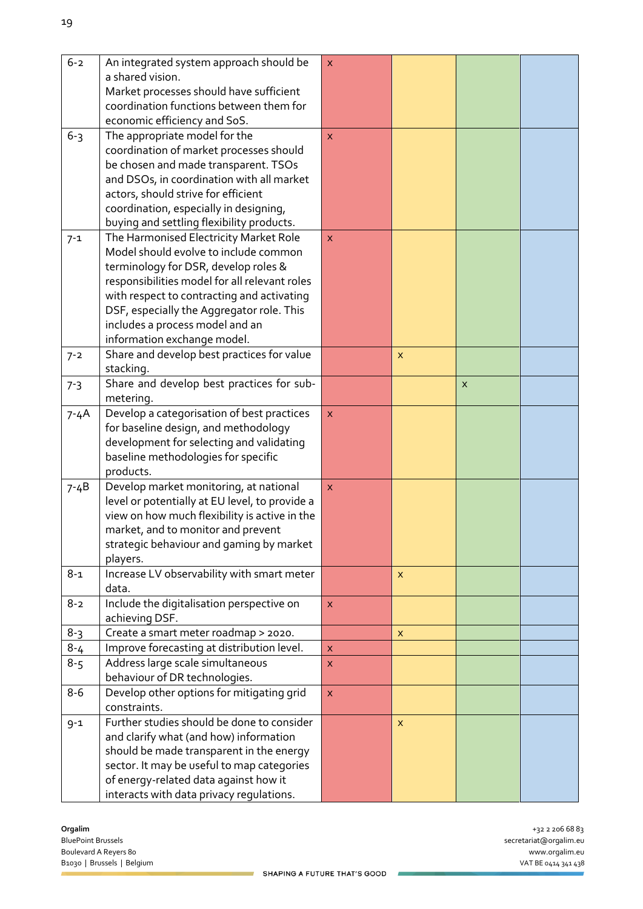| $6 - 2$                   | An integrated system approach should be                                      | $\mathsf{x}$       |                           |              |                                       |
|---------------------------|------------------------------------------------------------------------------|--------------------|---------------------------|--------------|---------------------------------------|
|                           | a shared vision.                                                             |                    |                           |              |                                       |
|                           | Market processes should have sufficient                                      |                    |                           |              |                                       |
|                           | coordination functions between them for                                      |                    |                           |              |                                       |
|                           | economic efficiency and SoS.                                                 |                    |                           |              |                                       |
| $6 - 3$                   | The appropriate model for the                                                | X                  |                           |              |                                       |
|                           | coordination of market processes should                                      |                    |                           |              |                                       |
|                           | be chosen and made transparent. TSOs                                         |                    |                           |              |                                       |
|                           | and DSOs, in coordination with all market                                    |                    |                           |              |                                       |
|                           | actors, should strive for efficient                                          |                    |                           |              |                                       |
|                           | coordination, especially in designing,                                       |                    |                           |              |                                       |
|                           | buying and settling flexibility products.                                    |                    |                           |              |                                       |
| $7 - 1$                   | The Harmonised Electricity Market Role                                       | X                  |                           |              |                                       |
|                           | Model should evolve to include common                                        |                    |                           |              |                                       |
|                           | terminology for DSR, develop roles &                                         |                    |                           |              |                                       |
|                           | responsibilities model for all relevant roles                                |                    |                           |              |                                       |
|                           | with respect to contracting and activating                                   |                    |                           |              |                                       |
|                           | DSF, especially the Aggregator role. This<br>includes a process model and an |                    |                           |              |                                       |
|                           | information exchange model.                                                  |                    |                           |              |                                       |
|                           | Share and develop best practices for value                                   |                    |                           |              |                                       |
| $7 - 2$                   |                                                                              |                    | $\boldsymbol{\mathsf{x}}$ |              |                                       |
|                           | stacking.<br>Share and develop best practices for sub-                       |                    |                           |              |                                       |
| $7 - 3$                   | metering.                                                                    |                    |                           | $\mathsf{x}$ |                                       |
|                           | Develop a categorisation of best practices                                   | $\mathsf{x}$       |                           |              |                                       |
| $7 - 4A$                  | for baseline design, and methodology                                         |                    |                           |              |                                       |
|                           | development for selecting and validating                                     |                    |                           |              |                                       |
|                           | baseline methodologies for specific                                          |                    |                           |              |                                       |
|                           | products.                                                                    |                    |                           |              |                                       |
| $7 - 4B$                  | Develop market monitoring, at national                                       | $\pmb{\mathsf{X}}$ |                           |              |                                       |
|                           | level or potentially at EU level, to provide a                               |                    |                           |              |                                       |
|                           | view on how much flexibility is active in the                                |                    |                           |              |                                       |
|                           | market, and to monitor and prevent                                           |                    |                           |              |                                       |
|                           | strategic behaviour and gaming by market                                     |                    |                           |              |                                       |
|                           | players.                                                                     |                    |                           |              |                                       |
| $8 - 1$                   | Increase LV observability with smart meter                                   |                    | X                         |              |                                       |
|                           | data.                                                                        |                    |                           |              |                                       |
| $8 - 2$                   | Include the digitalisation perspective on                                    | $\mathsf{x}$       |                           |              |                                       |
|                           | achieving DSF.                                                               |                    |                           |              |                                       |
| $8 - 3$                   | Create a smart meter roadmap > 2020.                                         |                    | $\pmb{\times}$            |              |                                       |
| $8 - 4$                   | Improve forecasting at distribution level.                                   | $\pmb{\times}$     |                           |              |                                       |
| $8 - 5$                   | Address large scale simultaneous                                             | X                  |                           |              |                                       |
|                           | behaviour of DR technologies.                                                |                    |                           |              |                                       |
| $8-6$                     | Develop other options for mitigating grid                                    | $\mathsf{x}$       |                           |              |                                       |
|                           | constraints.                                                                 |                    |                           |              |                                       |
| $9 - 1$                   | Further studies should be done to consider                                   |                    | X                         |              |                                       |
|                           | and clarify what (and how) information                                       |                    |                           |              |                                       |
|                           | should be made transparent in the energy                                     |                    |                           |              |                                       |
|                           | sector. It may be useful to map categories                                   |                    |                           |              |                                       |
|                           | of energy-related data against how it                                        |                    |                           |              |                                       |
|                           | interacts with data privacy regulations.                                     |                    |                           |              |                                       |
|                           |                                                                              |                    |                           |              |                                       |
| Orgalim                   |                                                                              |                    |                           |              | +32 2 206 68 83                       |
| <b>BluePoint Brussels</b> |                                                                              |                    |                           |              | secretariat@orgalim.eu                |
|                           | Boulevard A Reyers 80<br>B1030   Brussels   Belgium                          |                    |                           |              | www.orgalim.eu<br>VAT BE 0414 341 438 |
|                           |                                                                              |                    |                           |              |                                       |

ż,